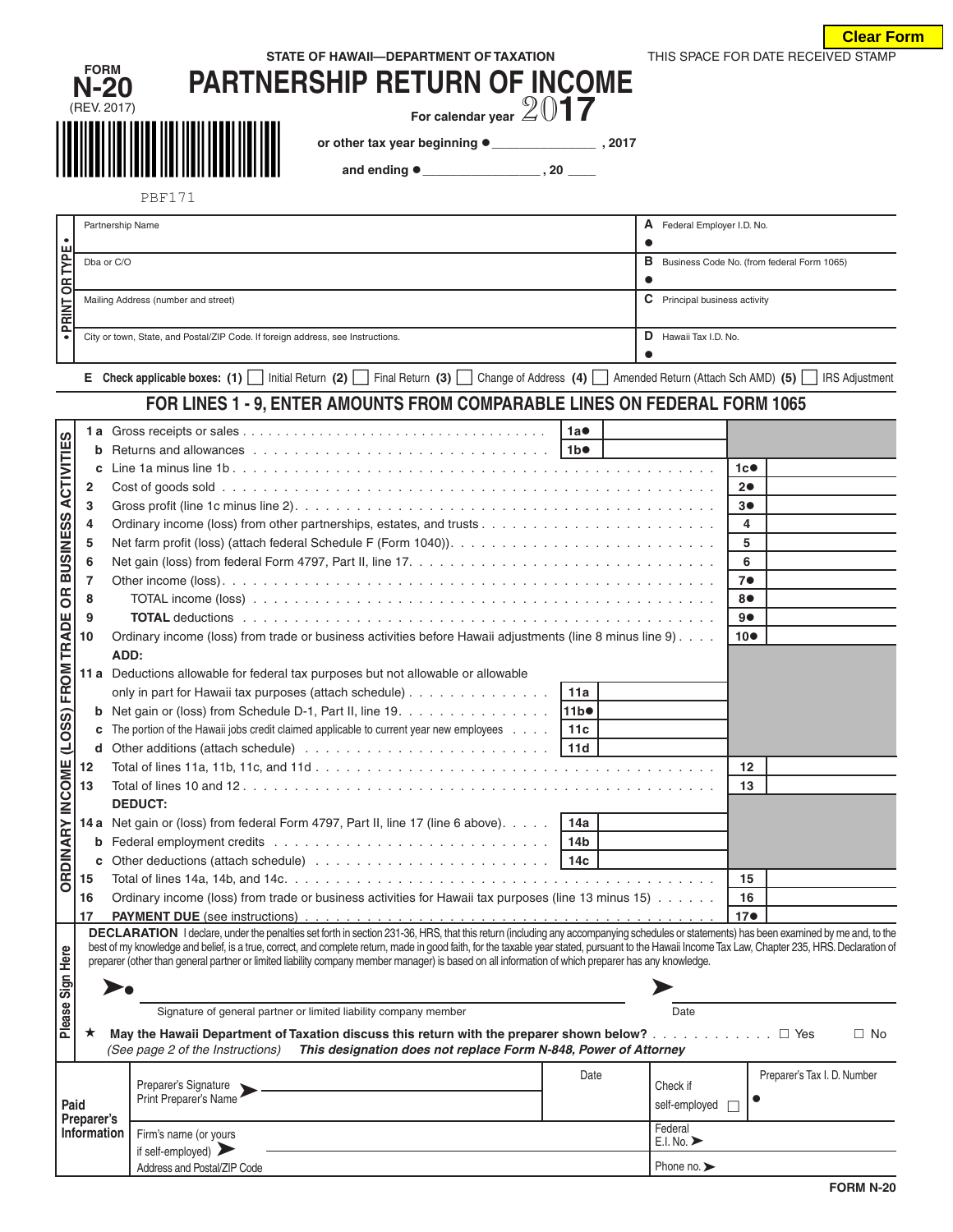|                        |                     |                                                                                                                                                                                                                                                                                                                                                                                              |                                                     |                                                        | <b>Clear Form</b>           |  |  |  |  |
|------------------------|---------------------|----------------------------------------------------------------------------------------------------------------------------------------------------------------------------------------------------------------------------------------------------------------------------------------------------------------------------------------------------------------------------------------------|-----------------------------------------------------|--------------------------------------------------------|-----------------------------|--|--|--|--|
|                        |                     | STATE OF HAWAII-DEPARTMENT OF TAXATION                                                                                                                                                                                                                                                                                                                                                       | THIS SPACE FOR DATE RECEIVED STAMP                  |                                                        |                             |  |  |  |  |
|                        | <b>FORM</b><br>N-20 | <b>PARTNERSHIP RETURN OF INCOME</b>                                                                                                                                                                                                                                                                                                                                                          |                                                     |                                                        |                             |  |  |  |  |
|                        | (REV. 2017)         |                                                                                                                                                                                                                                                                                                                                                                                              |                                                     |                                                        |                             |  |  |  |  |
|                        |                     | For calendar year $2017$                                                                                                                                                                                                                                                                                                                                                                     |                                                     |                                                        |                             |  |  |  |  |
|                        |                     |                                                                                                                                                                                                                                                                                                                                                                                              |                                                     |                                                        |                             |  |  |  |  |
|                        |                     |                                                                                                                                                                                                                                                                                                                                                                                              |                                                     |                                                        |                             |  |  |  |  |
|                        |                     |                                                                                                                                                                                                                                                                                                                                                                                              |                                                     |                                                        |                             |  |  |  |  |
|                        |                     | <b>PBF171</b>                                                                                                                                                                                                                                                                                                                                                                                |                                                     |                                                        |                             |  |  |  |  |
|                        | Partnership Name    |                                                                                                                                                                                                                                                                                                                                                                                              | A Federal Employer I.D. No.                         |                                                        |                             |  |  |  |  |
|                        |                     |                                                                                                                                                                                                                                                                                                                                                                                              | $\bullet$                                           |                                                        |                             |  |  |  |  |
| PRINT OR TYPE          | Dba or C/O          |                                                                                                                                                                                                                                                                                                                                                                                              | <b>B</b> Business Code No. (from federal Form 1065) |                                                        |                             |  |  |  |  |
|                        |                     |                                                                                                                                                                                                                                                                                                                                                                                              |                                                     |                                                        |                             |  |  |  |  |
|                        |                     | Mailing Address (number and street)                                                                                                                                                                                                                                                                                                                                                          |                                                     | C Principal business activity<br>D Hawaii Tax I.D. No. |                             |  |  |  |  |
|                        |                     |                                                                                                                                                                                                                                                                                                                                                                                              |                                                     |                                                        |                             |  |  |  |  |
| $\bullet$              |                     | City or town, State, and Postal/ZIP Code. If foreign address, see Instructions.                                                                                                                                                                                                                                                                                                              |                                                     |                                                        |                             |  |  |  |  |
|                        |                     | E Check applicable boxes: (1)   Initial Return (2)   Final Return (3)   Change of Address (4)   Amended Return (Attach Sch AMD) (5)                                                                                                                                                                                                                                                          |                                                     |                                                        |                             |  |  |  |  |
|                        |                     |                                                                                                                                                                                                                                                                                                                                                                                              |                                                     |                                                        | <b>IRS Adjustment</b>       |  |  |  |  |
|                        |                     | FOR LINES 1 - 9, ENTER AMOUNTS FROM COMPARABLE LINES ON FEDERAL FORM 1065                                                                                                                                                                                                                                                                                                                    |                                                     |                                                        |                             |  |  |  |  |
|                        |                     |                                                                                                                                                                                                                                                                                                                                                                                              | 1a●                                                 |                                                        |                             |  |  |  |  |
| <b>ACTIVITIES</b>      | b                   |                                                                                                                                                                                                                                                                                                                                                                                              |                                                     |                                                        |                             |  |  |  |  |
|                        | c                   |                                                                                                                                                                                                                                                                                                                                                                                              |                                                     | 1c                                                     |                             |  |  |  |  |
|                        | 2                   |                                                                                                                                                                                                                                                                                                                                                                                              |                                                     | 20                                                     |                             |  |  |  |  |
|                        | 3                   |                                                                                                                                                                                                                                                                                                                                                                                              |                                                     | 3●                                                     |                             |  |  |  |  |
| <b>BUSINESS</b>        | 4                   |                                                                                                                                                                                                                                                                                                                                                                                              |                                                     | 4                                                      |                             |  |  |  |  |
|                        | 5<br>6              |                                                                                                                                                                                                                                                                                                                                                                                              |                                                     | 5<br>6                                                 |                             |  |  |  |  |
|                        | $\overline{7}$      |                                                                                                                                                                                                                                                                                                                                                                                              |                                                     | 7 <sub>•</sub>                                         |                             |  |  |  |  |
| 6R                     | 8                   |                                                                                                                                                                                                                                                                                                                                                                                              |                                                     | 8●                                                     |                             |  |  |  |  |
|                        | 9                   | 9●                                                                                                                                                                                                                                                                                                                                                                                           |                                                     |                                                        |                             |  |  |  |  |
| TRADE                  | 10                  | Ordinary income (loss) from trade or business activities before Hawaii adjustments (line 8 minus line 9)                                                                                                                                                                                                                                                                                     | $10\bullet$                                         |                                                        |                             |  |  |  |  |
|                        |                     | ADD:                                                                                                                                                                                                                                                                                                                                                                                         |                                                     |                                                        |                             |  |  |  |  |
| FROM                   |                     | 11 a Deductions allowable for federal tax purposes but not allowable or allowable                                                                                                                                                                                                                                                                                                            |                                                     |                                                        |                             |  |  |  |  |
|                        |                     | only in part for Hawaii tax purposes (attach schedule)                                                                                                                                                                                                                                                                                                                                       | 11a                                                 |                                                        |                             |  |  |  |  |
| <u>ි</u>               |                     | <b>b</b> Net gain or (loss) from Schedule D-1, Part II, line 19. $\ldots$                                                                                                                                                                                                                                                                                                                    | 11b <sup>o</sup>                                    |                                                        |                             |  |  |  |  |
| COS                    | c                   | The portion of the Hawaii jobs credit claimed applicable to current year new employees $\ldots$ .   11c                                                                                                                                                                                                                                                                                      |                                                     |                                                        |                             |  |  |  |  |
|                        | d                   |                                                                                                                                                                                                                                                                                                                                                                                              |                                                     |                                                        |                             |  |  |  |  |
|                        | 12                  |                                                                                                                                                                                                                                                                                                                                                                                              |                                                     | 12                                                     |                             |  |  |  |  |
|                        | 13                  | <b>DEDUCT:</b>                                                                                                                                                                                                                                                                                                                                                                               |                                                     | 13                                                     |                             |  |  |  |  |
|                        |                     | 14a Net gain or (loss) from federal Form 4797, Part II, line 17 (line 6 above).   14a                                                                                                                                                                                                                                                                                                        |                                                     |                                                        |                             |  |  |  |  |
|                        | b                   |                                                                                                                                                                                                                                                                                                                                                                                              |                                                     |                                                        |                             |  |  |  |  |
|                        | с                   |                                                                                                                                                                                                                                                                                                                                                                                              |                                                     |                                                        |                             |  |  |  |  |
| <b>ORDINARY INCOME</b> | 15                  |                                                                                                                                                                                                                                                                                                                                                                                              |                                                     | 15                                                     |                             |  |  |  |  |
|                        | 16                  | Ordinary income (loss) from trade or business activities for Hawaii tax purposes (line 13 minus 15)                                                                                                                                                                                                                                                                                          |                                                     | 16                                                     |                             |  |  |  |  |
|                        | 17                  |                                                                                                                                                                                                                                                                                                                                                                                              |                                                     | 17 <sup>o</sup>                                        |                             |  |  |  |  |
|                        |                     | DECLARATION I declare, under the penalties set forth in section 231-36, HRS, that this return (including any accompanying schedules or statements) has been examined by me and, to the<br>best of my knowledge and belief, is a true, correct, and complete return, made in good faith, for the taxable year stated, pursuant to the Hawaii Income Tax Law, Chapter 235, HRS. Declaration of |                                                     |                                                        |                             |  |  |  |  |
| Sign Here              |                     | preparer (other than general partner or limited liability company member manager) is based on all information of which preparer has any knowledge.                                                                                                                                                                                                                                           |                                                     |                                                        |                             |  |  |  |  |
|                        |                     |                                                                                                                                                                                                                                                                                                                                                                                              |                                                     |                                                        |                             |  |  |  |  |
|                        |                     |                                                                                                                                                                                                                                                                                                                                                                                              |                                                     | Date                                                   |                             |  |  |  |  |
| Please                 |                     | Signature of general partner or limited liability company member                                                                                                                                                                                                                                                                                                                             |                                                     |                                                        |                             |  |  |  |  |
|                        | ★                   | May the Hawaii Department of Taxation discuss this return with the preparer shown below? $\Box$ Yes                                                                                                                                                                                                                                                                                          |                                                     | $\Box$ No                                              |                             |  |  |  |  |
|                        |                     | This designation does not replace Form N-848, Power of Attorney<br>(See page 2 of the Instructions)                                                                                                                                                                                                                                                                                          |                                                     |                                                        |                             |  |  |  |  |
|                        |                     | Preparer's Signature                                                                                                                                                                                                                                                                                                                                                                         | Date                                                | Check if                                               | Preparer's Tax I. D. Number |  |  |  |  |
| Paid                   |                     | Print Preparer's Name                                                                                                                                                                                                                                                                                                                                                                        |                                                     | $\bullet$<br>self-employed<br>П                        |                             |  |  |  |  |
|                        | Preparer's          |                                                                                                                                                                                                                                                                                                                                                                                              |                                                     |                                                        |                             |  |  |  |  |
|                        | Information         | Firm's name (or yours                                                                                                                                                                                                                                                                                                                                                                        |                                                     | Federal<br>E.I. No.                                    |                             |  |  |  |  |
|                        |                     | if self-employed) $\blacktriangleright$                                                                                                                                                                                                                                                                                                                                                      |                                                     | Phone no.                                              |                             |  |  |  |  |
|                        |                     | Address and Postal/ZIP Code                                                                                                                                                                                                                                                                                                                                                                  |                                                     |                                                        | <b>CODMALOG</b>             |  |  |  |  |